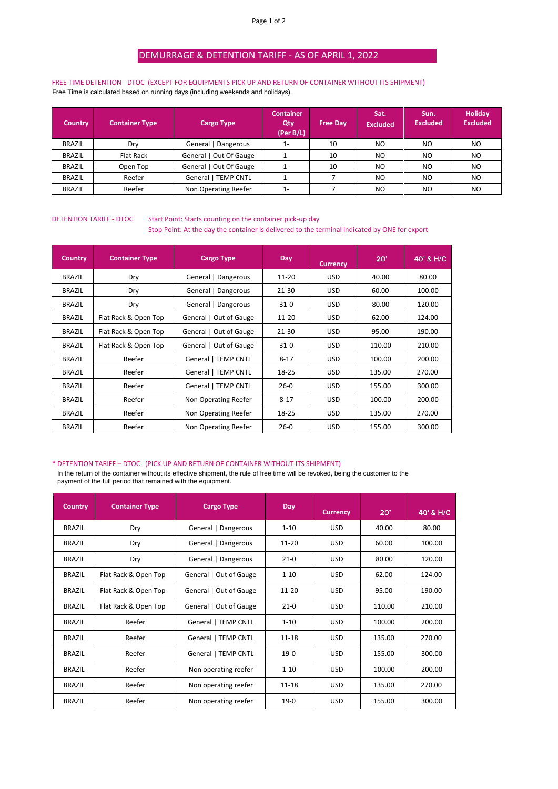# DEMURRAGE & DETENTION TARIFF - AS OF APRIL 1, 2022

FREE TIME DETENTION - DTOC (EXCEPT FOR EQUIPMENTS PICK UP AND RETURN OF CONTAINER WITHOUT ITS SHIPMENT) Free Time is calculated based on running days (including weekends and holidays).

| <b>Country</b> | <b>Container Type</b> | <b>Cargo Type</b>          | <b>Container</b><br>Qty<br>(Per B/L) | <b>Free Dav</b> | Sat.<br><b>Excluded</b> | Sun.<br><b>Excluded</b> | Holiday<br><b>Excluded</b> |
|----------------|-----------------------|----------------------------|--------------------------------------|-----------------|-------------------------|-------------------------|----------------------------|
| <b>BRAZIL</b>  | Drv                   | General   Dangerous        | $1 -$                                | 10              | N <sub>O</sub>          | NO.                     | N <sub>O</sub>             |
| <b>BRAZIL</b>  | Flat Rack             | General   Out Of Gauge     | $1 -$                                | 10              | N <sub>O</sub>          | NO                      | N <sub>O</sub>             |
| <b>BRAZIL</b>  | Open Top              | Out Of Gauge<br>General I  | $1 -$                                | 10              | NO.                     | NO                      | N <sub>O</sub>             |
| <b>BRAZIL</b>  | Reefer                | <b>General   TEMP CNTL</b> | $1-$                                 |                 | N <sub>O</sub>          | NO                      | N <sub>O</sub>             |
| <b>BRAZIL</b>  | Reefer                | Non Operating Reefer       | $1 -$                                |                 | NO.                     | NO                      | N <sub>O</sub>             |

### DETENTION TARIFF - DTOC Start Point: Starts counting on the container pick-up day Stop Point: At the day the container is delivered to the terminal indicated by ONE for export

| <b>Country</b> | <b>Container Type</b> | <b>Cargo Type</b>      | Day       | <b>Currency</b> | $20^{\circ}$ | 40' & H/C |
|----------------|-----------------------|------------------------|-----------|-----------------|--------------|-----------|
| <b>BRAZIL</b>  | Dry                   | General   Dangerous    | $11 - 20$ | <b>USD</b>      | 40.00        | 80.00     |
| <b>BRAZIL</b>  | Dry                   | General   Dangerous    | 21-30     | USD.            | 60.00        | 100.00    |
| <b>BRAZIL</b>  | Dry                   | General   Dangerous    | $31-0$    | USD.            | 80.00        | 120.00    |
| <b>BRAZIL</b>  | Flat Rack & Open Top  | General   Out of Gauge | 11-20     | USD.            | 62.00        | 124.00    |
| <b>BRAZIL</b>  | Flat Rack & Open Top  | General   Out of Gauge | 21-30     | USD.            | 95.00        | 190.00    |
| <b>BRAZIL</b>  | Flat Rack & Open Top  | General   Out of Gauge | $31-0$    | USD.            | 110.00       | 210.00    |
| <b>BRAZIL</b>  | Reefer                | General   TEMP CNTL    | $8 - 17$  | USD.            | 100.00       | 200.00    |
| <b>BRAZIL</b>  | Reefer                | General   TEMP CNTL    | 18-25     | USD.            | 135.00       | 270.00    |
| <b>BRAZIL</b>  | Reefer                | General   TEMP CNTL    | $26-0$    | USD.            | 155.00       | 300.00    |
| <b>BRAZIL</b>  | Reefer                | Non Operating Reefer   | $8 - 17$  | USD.            | 100.00       | 200.00    |
| <b>BRAZIL</b>  | Reefer                | Non Operating Reefer   | 18-25     | USD.            | 135.00       | 270.00    |
| <b>BRAZIL</b>  | Reefer                | Non Operating Reefer   | $26-0$    | <b>USD</b>      | 155.00       | 300.00    |

#### \* DETENTION TARIFF – DTOC (PICK UP AND RETURN OF CONTAINER WITHOUT ITS SHIPMENT)

In the return of the container without its effective shipment, the rule of free time will be revoked, being the customer to the payment of the full period that remained with the equipment.

| <b>Country</b> | <b>Container Type</b> | <b>Cargo Type</b>      | Day       | <b>Currency</b> | 20'    | 40' & H/C |
|----------------|-----------------------|------------------------|-----------|-----------------|--------|-----------|
| <b>BRAZIL</b>  | Dry                   | General   Dangerous    | $1 - 10$  | <b>USD</b>      | 40.00  | 80.00     |
| <b>BRAZIL</b>  | Dry                   | General   Dangerous    | $11 - 20$ | <b>USD</b>      | 60.00  | 100.00    |
| <b>BRAZIL</b>  | Dry                   | General   Dangerous    | $21-0$    | <b>USD</b>      | 80.00  | 120.00    |
| <b>BRAZIL</b>  | Flat Rack & Open Top  | General   Out of Gauge | $1 - 10$  | <b>USD</b>      | 62.00  | 124.00    |
| <b>BRAZIL</b>  | Flat Rack & Open Top  | General   Out of Gauge | $11 - 20$ | <b>USD</b>      | 95.00  | 190.00    |
| <b>BRAZIL</b>  | Flat Rack & Open Top  | General   Out of Gauge | $21-0$    | <b>USD</b>      | 110.00 | 210.00    |
| <b>BRAZIL</b>  | Reefer                | General   TEMP CNTL    | $1 - 10$  | <b>USD</b>      | 100.00 | 200.00    |
| <b>BRAZIL</b>  | Reefer                | General   TEMP CNTL    | $11 - 18$ | <b>USD</b>      | 135.00 | 270.00    |
| <b>BRAZIL</b>  | Reefer                | General   TEMP CNTL    | $19-0$    | <b>USD</b>      | 155.00 | 300.00    |
| <b>BRAZIL</b>  | Reefer                | Non operating reefer   | $1 - 10$  | <b>USD</b>      | 100.00 | 200.00    |
| <b>BRAZIL</b>  | Reefer                | Non operating reefer   | $11 - 18$ | <b>USD</b>      | 135.00 | 270.00    |
| <b>BRAZIL</b>  | Reefer                | Non operating reefer   | $19-0$    | <b>USD</b>      | 155.00 | 300.00    |